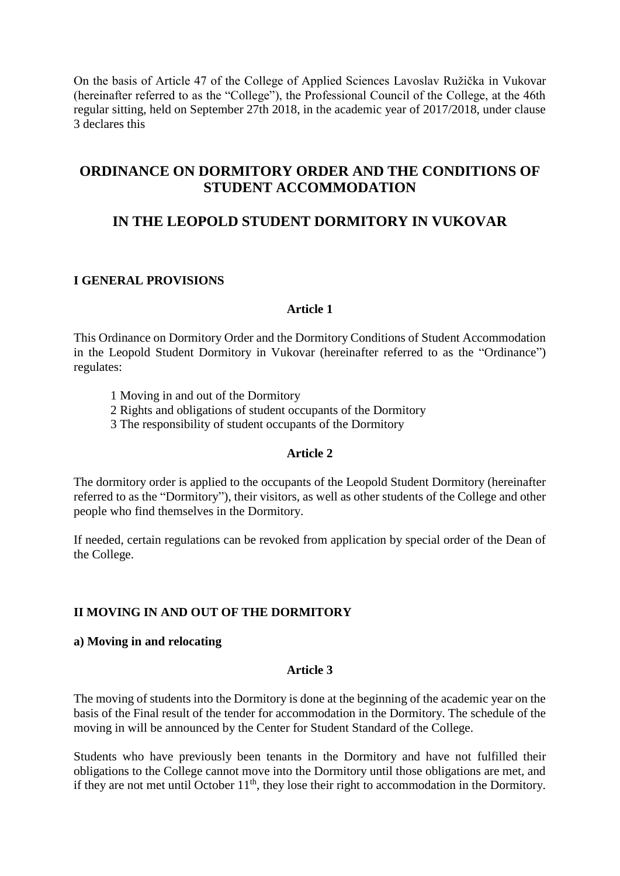On the basis of Article 47 of the College of Applied Sciences Lavoslav Ružička in Vukovar (hereinafter referred to as the "College"), the Professional Council of the College, at the 46th regular sitting, held on September 27th 2018, in the academic year of 2017/2018, under clause 3 declares this

# **ORDINANCE ON DORMITORY ORDER AND THE CONDITIONS OF STUDENT ACCOMMODATION**

# **IN THE LEOPOLD STUDENT DORMITORY IN VUKOVAR**

### **I GENERAL PROVISIONS**

### **Article 1**

This Ordinance on Dormitory Order and the Dormitory Conditions of Student Accommodation in the Leopold Student Dormitory in Vukovar (hereinafter referred to as the "Ordinance") regulates:

- 1 Moving in and out of the Dormitory
- 2 Rights and obligations of student occupants of the Dormitory
- 3 The responsibility of student occupants of the Dormitory

### **Article 2**

The dormitory order is applied to the occupants of the Leopold Student Dormitory (hereinafter referred to as the "Dormitory"), their visitors, as well as other students of the College and other people who find themselves in the Dormitory.

If needed, certain regulations can be revoked from application by special order of the Dean of the College.

## **II MOVING IN AND OUT OF THE DORMITORY**

### **a) Moving in and relocating**

### **Article 3**

The moving of students into the Dormitory is done at the beginning of the academic year on the basis of the Final result of the tender for accommodation in the Dormitory. The schedule of the moving in will be announced by the Center for Student Standard of the College.

Students who have previously been tenants in the Dormitory and have not fulfilled their obligations to the College cannot move into the Dormitory until those obligations are met, and if they are not met until October  $11<sup>th</sup>$ , they lose their right to accommodation in the Dormitory.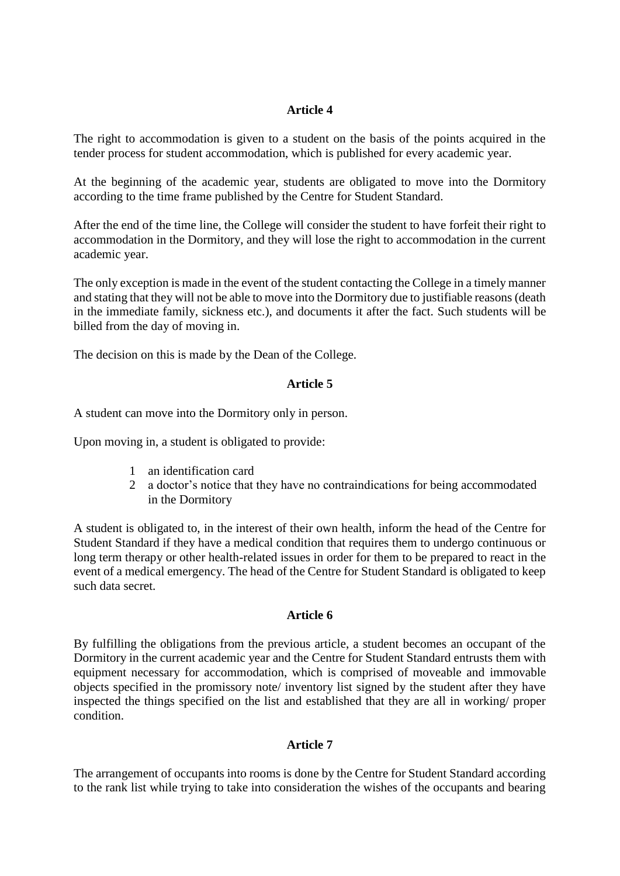The right to accommodation is given to a student on the basis of the points acquired in the tender process for student accommodation, which is published for every academic year.

At the beginning of the academic year, students are obligated to move into the Dormitory according to the time frame published by the Centre for Student Standard.

After the end of the time line, the College will consider the student to have forfeit their right to accommodation in the Dormitory, and they will lose the right to accommodation in the current academic year.

The only exception is made in the event of the student contacting the College in a timely manner and stating that they will not be able to move into the Dormitory due to justifiable reasons (death in the immediate family, sickness etc.), and documents it after the fact. Such students will be billed from the day of moving in.

The decision on this is made by the Dean of the College.

## **Article 5**

A student can move into the Dormitory only in person.

Upon moving in, a student is obligated to provide:

- 1 an identification card
- 2 a doctor's notice that they have no contraindications for being accommodated in the Dormitory

A student is obligated to, in the interest of their own health, inform the head of the Centre for Student Standard if they have a medical condition that requires them to undergo continuous or long term therapy or other health-related issues in order for them to be prepared to react in the event of a medical emergency. The head of the Centre for Student Standard is obligated to keep such data secret.

## **Article 6**

By fulfilling the obligations from the previous article, a student becomes an occupant of the Dormitory in the current academic year and the Centre for Student Standard entrusts them with equipment necessary for accommodation, which is comprised of moveable and immovable objects specified in the promissory note/ inventory list signed by the student after they have inspected the things specified on the list and established that they are all in working/ proper condition.

## **Article 7**

The arrangement of occupants into rooms is done by the Centre for Student Standard according to the rank list while trying to take into consideration the wishes of the occupants and bearing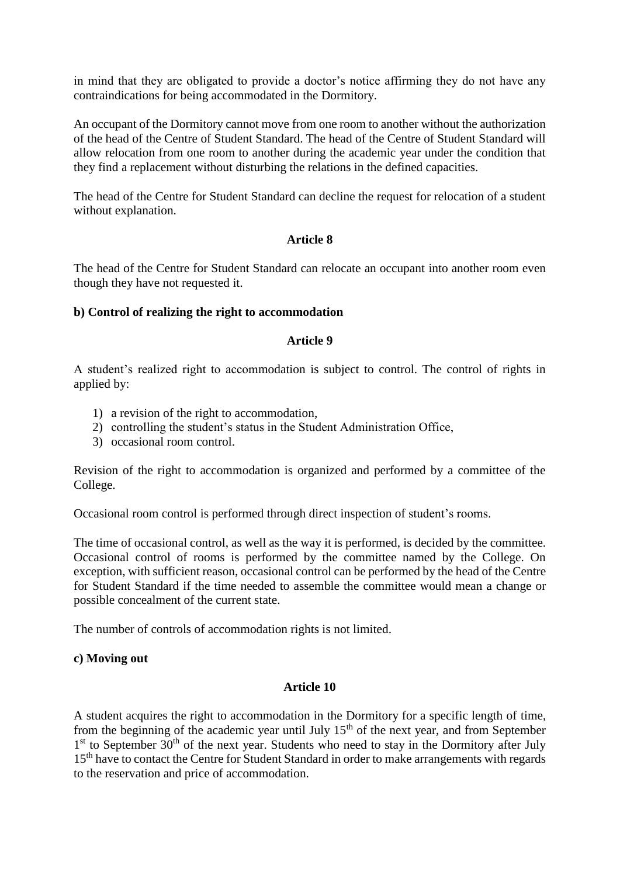in mind that they are obligated to provide a doctor's notice affirming they do not have any contraindications for being accommodated in the Dormitory.

An occupant of the Dormitory cannot move from one room to another without the authorization of the head of the Centre of Student Standard. The head of the Centre of Student Standard will allow relocation from one room to another during the academic year under the condition that they find a replacement without disturbing the relations in the defined capacities.

The head of the Centre for Student Standard can decline the request for relocation of a student without explanation.

### **Article 8**

The head of the Centre for Student Standard can relocate an occupant into another room even though they have not requested it.

### **b) Control of realizing the right to accommodation**

### **Article 9**

A student's realized right to accommodation is subject to control. The control of rights in applied by:

- 1) a revision of the right to accommodation,
- 2) controlling the student's status in the Student Administration Office,
- 3) occasional room control.

Revision of the right to accommodation is organized and performed by a committee of the College.

Occasional room control is performed through direct inspection of student's rooms.

The time of occasional control, as well as the way it is performed, is decided by the committee. Occasional control of rooms is performed by the committee named by the College. On exception, with sufficient reason, occasional control can be performed by the head of the Centre for Student Standard if the time needed to assemble the committee would mean a change or possible concealment of the current state.

The number of controls of accommodation rights is not limited.

### **c) Moving out**

### **Article 10**

A student acquires the right to accommodation in the Dormitory for a specific length of time, from the beginning of the academic year until July  $15<sup>th</sup>$  of the next year, and from September 1<sup>st</sup> to September 30<sup>th</sup> of the next year. Students who need to stay in the Dormitory after July 15<sup>th</sup> have to contact the Centre for Student Standard in order to make arrangements with regards to the reservation and price of accommodation.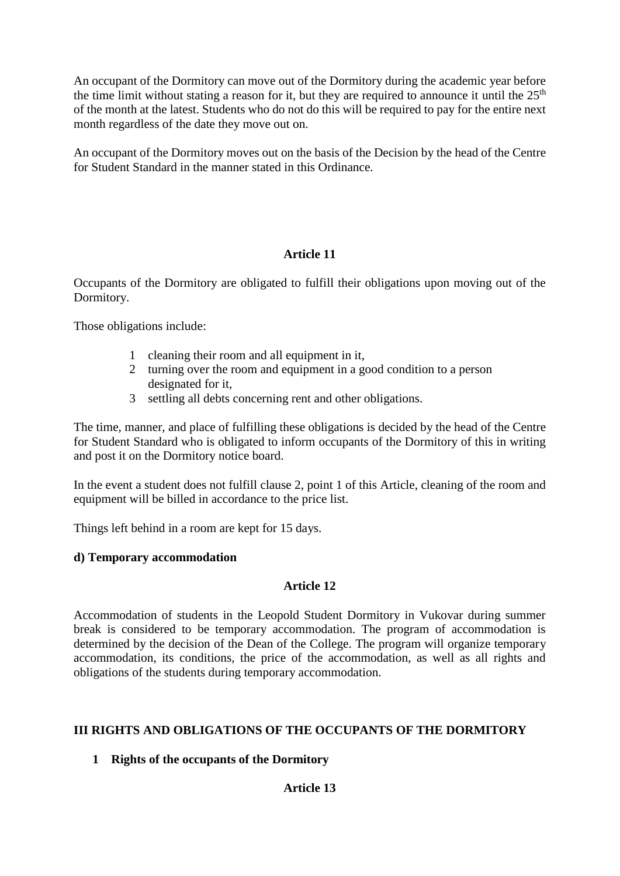An occupant of the Dormitory can move out of the Dormitory during the academic year before the time limit without stating a reason for it, but they are required to announce it until the  $25<sup>th</sup>$ of the month at the latest. Students who do not do this will be required to pay for the entire next month regardless of the date they move out on.

An occupant of the Dormitory moves out on the basis of the Decision by the head of the Centre for Student Standard in the manner stated in this Ordinance.

## **Article 11**

Occupants of the Dormitory are obligated to fulfill their obligations upon moving out of the Dormitory.

Those obligations include:

- 1 cleaning their room and all equipment in it,
- 2 turning over the room and equipment in a good condition to a person designated for it,
- 3 settling all debts concerning rent and other obligations.

The time, manner, and place of fulfilling these obligations is decided by the head of the Centre for Student Standard who is obligated to inform occupants of the Dormitory of this in writing and post it on the Dormitory notice board.

In the event a student does not fulfill clause 2, point 1 of this Article, cleaning of the room and equipment will be billed in accordance to the price list.

Things left behind in a room are kept for 15 days.

## **d) Temporary accommodation**

## **Article 12**

Accommodation of students in the Leopold Student Dormitory in Vukovar during summer break is considered to be temporary accommodation. The program of accommodation is determined by the decision of the Dean of the College. The program will organize temporary accommodation, its conditions, the price of the accommodation, as well as all rights and obligations of the students during temporary accommodation.

## **III RIGHTS AND OBLIGATIONS OF THE OCCUPANTS OF THE DORMITORY**

## **1 Rights of the occupants of the Dormitory**

## **Article 13**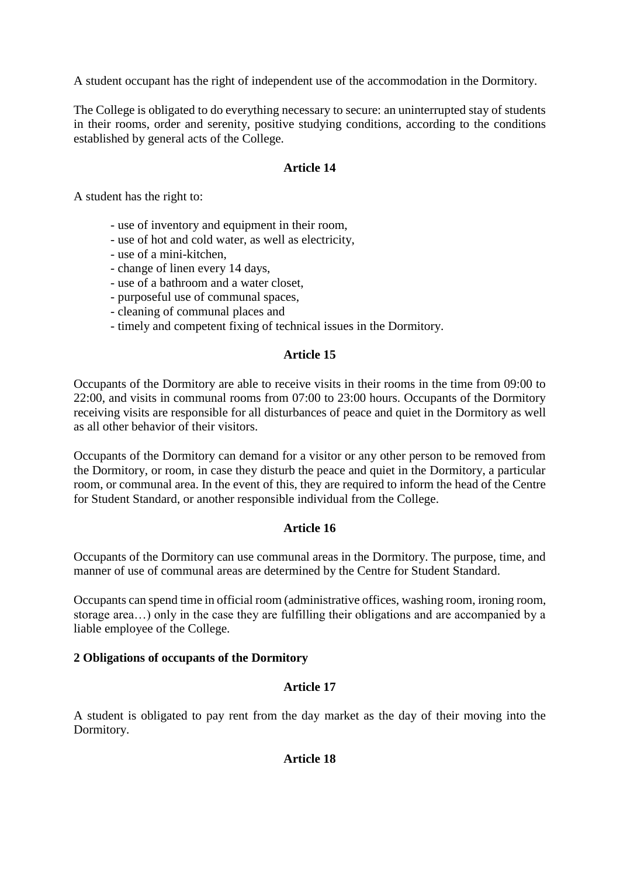A student occupant has the right of independent use of the accommodation in the Dormitory.

The College is obligated to do everything necessary to secure: an uninterrupted stay of students in their rooms, order and serenity, positive studying conditions, according to the conditions established by general acts of the College.

### **Article 14**

A student has the right to:

- use of inventory and equipment in their room,
- use of hot and cold water, as well as electricity,
- use of a mini-kitchen,
- change of linen every 14 days,
- use of a bathroom and a water closet,
- purposeful use of communal spaces,
- cleaning of communal places and
- timely and competent fixing of technical issues in the Dormitory.

### **Article 15**

Occupants of the Dormitory are able to receive visits in their rooms in the time from 09:00 to 22:00, and visits in communal rooms from 07:00 to 23:00 hours. Occupants of the Dormitory receiving visits are responsible for all disturbances of peace and quiet in the Dormitory as well as all other behavior of their visitors.

Occupants of the Dormitory can demand for a visitor or any other person to be removed from the Dormitory, or room, in case they disturb the peace and quiet in the Dormitory, a particular room, or communal area. In the event of this, they are required to inform the head of the Centre for Student Standard, or another responsible individual from the College.

### **Article 16**

Occupants of the Dormitory can use communal areas in the Dormitory. The purpose, time, and manner of use of communal areas are determined by the Centre for Student Standard.

Occupants can spend time in official room (administrative offices, washing room, ironing room, storage area…) only in the case they are fulfilling their obligations and are accompanied by a liable employee of the College.

### **2 Obligations of occupants of the Dormitory**

### **Article 17**

A student is obligated to pay rent from the day market as the day of their moving into the Dormitory.

### **Article 18**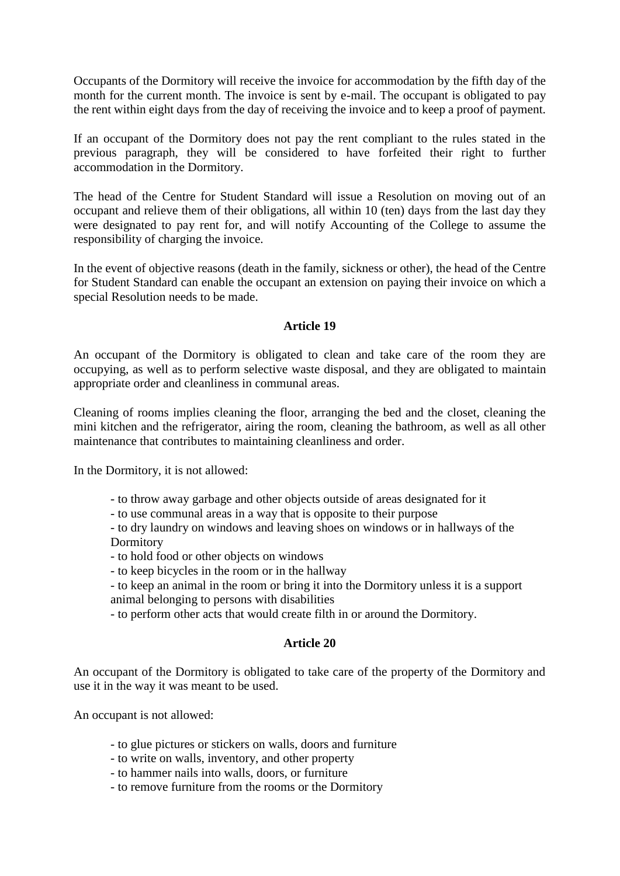Occupants of the Dormitory will receive the invoice for accommodation by the fifth day of the month for the current month. The invoice is sent by e-mail. The occupant is obligated to pay the rent within eight days from the day of receiving the invoice and to keep a proof of payment.

If an occupant of the Dormitory does not pay the rent compliant to the rules stated in the previous paragraph, they will be considered to have forfeited their right to further accommodation in the Dormitory.

The head of the Centre for Student Standard will issue a Resolution on moving out of an occupant and relieve them of their obligations, all within 10 (ten) days from the last day they were designated to pay rent for, and will notify Accounting of the College to assume the responsibility of charging the invoice.

In the event of objective reasons (death in the family, sickness or other), the head of the Centre for Student Standard can enable the occupant an extension on paying their invoice on which a special Resolution needs to be made.

### **Article 19**

An occupant of the Dormitory is obligated to clean and take care of the room they are occupying, as well as to perform selective waste disposal, and they are obligated to maintain appropriate order and cleanliness in communal areas.

Cleaning of rooms implies cleaning the floor, arranging the bed and the closet, cleaning the mini kitchen and the refrigerator, airing the room, cleaning the bathroom, as well as all other maintenance that contributes to maintaining cleanliness and order.

In the Dormitory, it is not allowed:

- to throw away garbage and other objects outside of areas designated for it
- to use communal areas in a way that is opposite to their purpose

- to dry laundry on windows and leaving shoes on windows or in hallways of the Dormitory

- to hold food or other objects on windows
- to keep bicycles in the room or in the hallway
- to keep an animal in the room or bring it into the Dormitory unless it is a support animal belonging to persons with disabilities
- to perform other acts that would create filth in or around the Dormitory.

### **Article 20**

An occupant of the Dormitory is obligated to take care of the property of the Dormitory and use it in the way it was meant to be used.

An occupant is not allowed:

- to glue pictures or stickers on walls, doors and furniture
- to write on walls, inventory, and other property
- to hammer nails into walls, doors, or furniture
- to remove furniture from the rooms or the Dormitory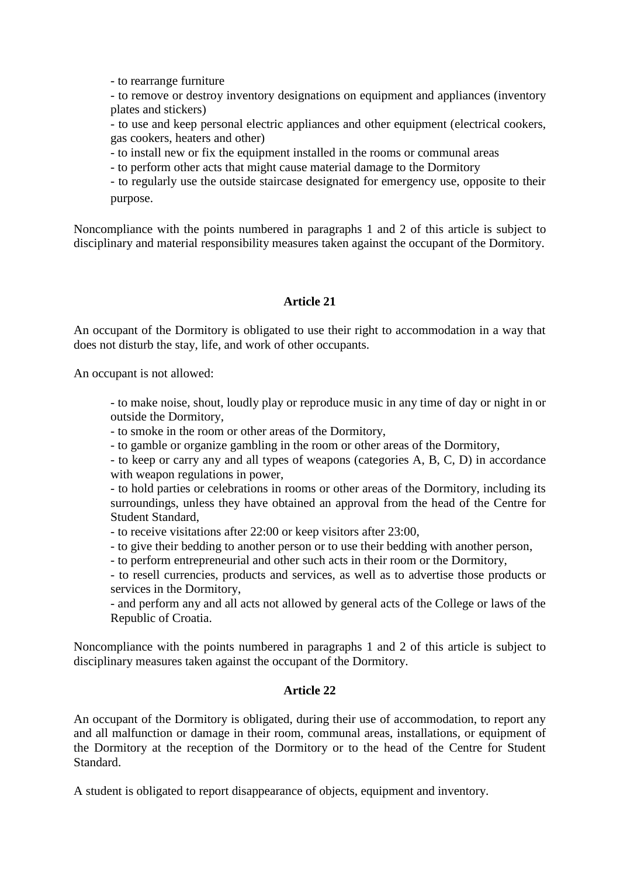- to rearrange furniture

- to remove or destroy inventory designations on equipment and appliances (inventory plates and stickers)

- to use and keep personal electric appliances and other equipment (electrical cookers, gas cookers, heaters and other)

- to install new or fix the equipment installed in the rooms or communal areas

- to perform other acts that might cause material damage to the Dormitory

- to regularly use the outside staircase designated for emergency use, opposite to their purpose.

Noncompliance with the points numbered in paragraphs 1 and 2 of this article is subject to disciplinary and material responsibility measures taken against the occupant of the Dormitory.

## **Article 21**

An occupant of the Dormitory is obligated to use their right to accommodation in a way that does not disturb the stay, life, and work of other occupants.

An occupant is not allowed:

- to make noise, shout, loudly play or reproduce music in any time of day or night in or outside the Dormitory,

- to smoke in the room or other areas of the Dormitory,

- to gamble or organize gambling in the room or other areas of the Dormitory,

- to keep or carry any and all types of weapons (categories A, B, C, D) in accordance with weapon regulations in power,

- to hold parties or celebrations in rooms or other areas of the Dormitory, including its surroundings, unless they have obtained an approval from the head of the Centre for Student Standard,

- to receive visitations after 22:00 or keep visitors after 23:00,

- to give their bedding to another person or to use their bedding with another person,

- to perform entrepreneurial and other such acts in their room or the Dormitory,

- to resell currencies, products and services, as well as to advertise those products or services in the Dormitory,

- and perform any and all acts not allowed by general acts of the College or laws of the Republic of Croatia.

Noncompliance with the points numbered in paragraphs 1 and 2 of this article is subject to disciplinary measures taken against the occupant of the Dormitory.

### **Article 22**

An occupant of the Dormitory is obligated, during their use of accommodation, to report any and all malfunction or damage in their room, communal areas, installations, or equipment of the Dormitory at the reception of the Dormitory or to the head of the Centre for Student Standard.

A student is obligated to report disappearance of objects, equipment and inventory.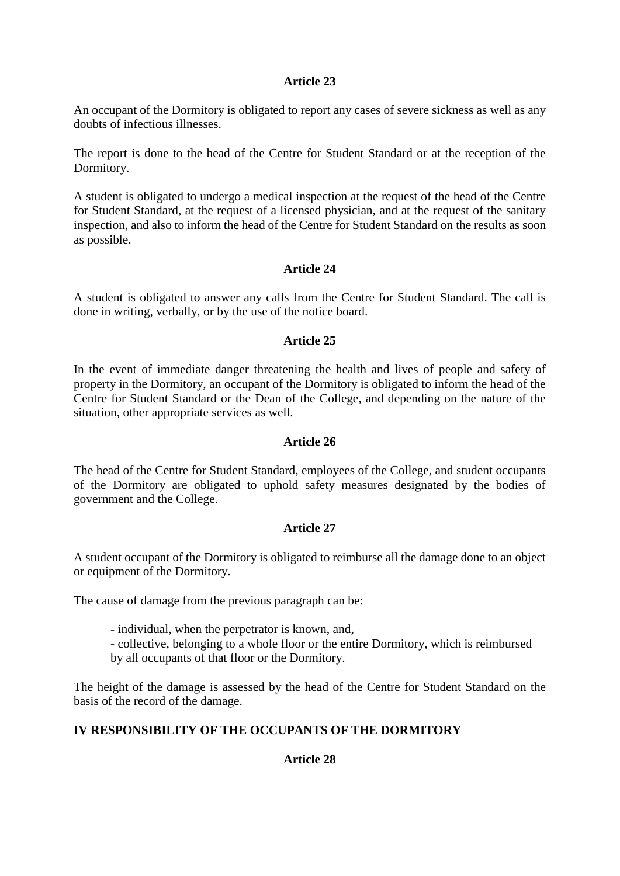An occupant of the Dormitory is obligated to report any cases of severe sickness as well as any doubts of infectious illnesses.

The report is done to the head of the Centre for Student Standard or at the reception of the Dormitory.

A student is obligated to undergo a medical inspection at the request of the head of the Centre for Student Standard, at the request of a licensed physician, and at the request of the sanitary inspection, and also to inform the head of the Centre for Student Standard on the results as soon as possible.

### **Article 24**

A student is obligated to answer any calls from the Centre for Student Standard. The call is done in writing, verbally, or by the use of the notice board.

### **Article 25**

In the event of immediate danger threatening the health and lives of people and safety of property in the Dormitory, an occupant of the Dormitory is obligated to inform the head of the Centre for Student Standard or the Dean of the College, and depending on the nature of the situation, other appropriate services as well.

### **Article 26**

The head of the Centre for Student Standard, employees of the College, and student occupants of the Dormitory are obligated to uphold safety measures designated by the bodies of government and the College.

## **Article 27**

A student occupant of the Dormitory is obligated to reimburse all the damage done to an object or equipment of the Dormitory.

The cause of damage from the previous paragraph can be:

- individual, when the perpetrator is known, and,

- collective, belonging to a whole floor or the entire Dormitory, which is reimbursed by all occupants of that floor or the Dormitory.

The height of the damage is assessed by the head of the Centre for Student Standard on the basis of the record of the damage.

## **IV RESPONSIBILITY OF THE OCCUPANTS OF THE DORMITORY**

## **Article 28**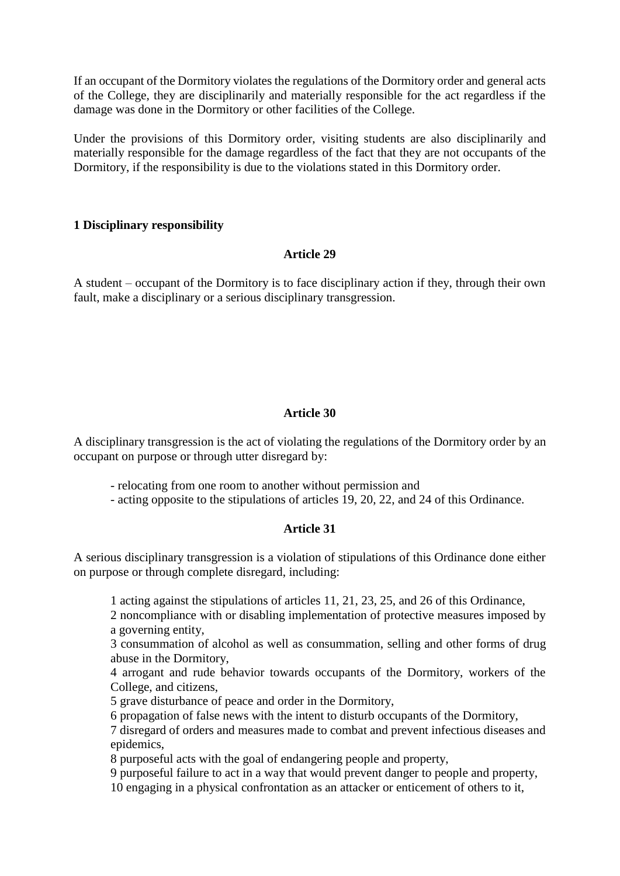If an occupant of the Dormitory violates the regulations of the Dormitory order and general acts of the College, they are disciplinarily and materially responsible for the act regardless if the damage was done in the Dormitory or other facilities of the College.

Under the provisions of this Dormitory order, visiting students are also disciplinarily and materially responsible for the damage regardless of the fact that they are not occupants of the Dormitory, if the responsibility is due to the violations stated in this Dormitory order.

### **1 Disciplinary responsibility**

### **Article 29**

A student – occupant of the Dormitory is to face disciplinary action if they, through their own fault, make a disciplinary or a serious disciplinary transgression.

## **Article 30**

A disciplinary transgression is the act of violating the regulations of the Dormitory order by an occupant on purpose or through utter disregard by:

- relocating from one room to another without permission and
- acting opposite to the stipulations of articles 19, 20, 22, and 24 of this Ordinance.

## **Article 31**

A serious disciplinary transgression is a violation of stipulations of this Ordinance done either on purpose or through complete disregard, including:

1 acting against the stipulations of articles 11, 21, 23, 25, and 26 of this Ordinance,

2 noncompliance with or disabling implementation of protective measures imposed by a governing entity,

3 consummation of alcohol as well as consummation, selling and other forms of drug abuse in the Dormitory,

4 arrogant and rude behavior towards occupants of the Dormitory, workers of the College, and citizens,

5 grave disturbance of peace and order in the Dormitory,

6 propagation of false news with the intent to disturb occupants of the Dormitory,

7 disregard of orders and measures made to combat and prevent infectious diseases and epidemics,

8 purposeful acts with the goal of endangering people and property,

9 purposeful failure to act in a way that would prevent danger to people and property,

10 engaging in a physical confrontation as an attacker or enticement of others to it,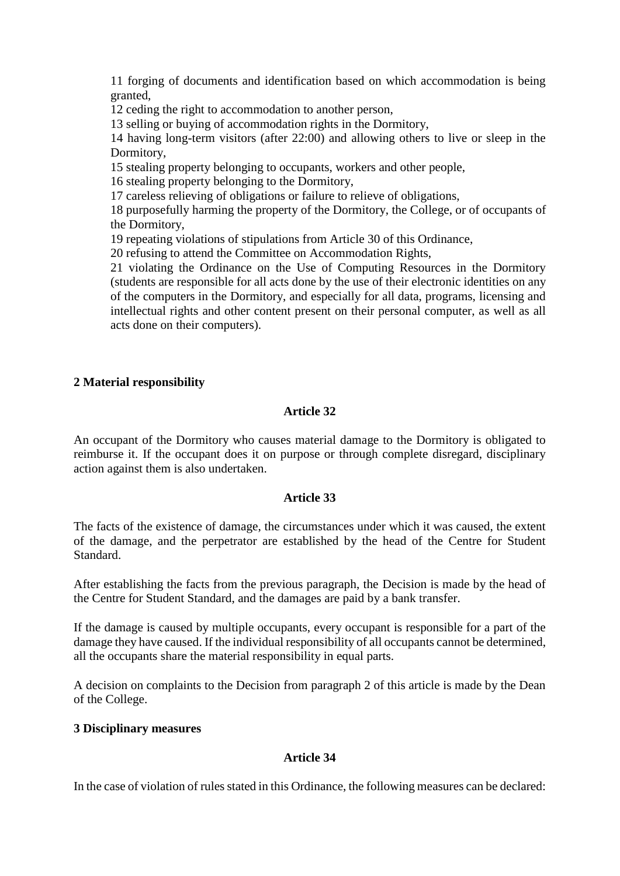11 forging of documents and identification based on which accommodation is being granted,

12 ceding the right to accommodation to another person,

13 selling or buying of accommodation rights in the Dormitory,

14 having long-term visitors (after 22:00) and allowing others to live or sleep in the Dormitory,

15 stealing property belonging to occupants, workers and other people,

16 stealing property belonging to the Dormitory,

17 careless relieving of obligations or failure to relieve of obligations,

18 purposefully harming the property of the Dormitory, the College, or of occupants of the Dormitory,

19 repeating violations of stipulations from Article 30 of this Ordinance,

20 refusing to attend the Committee on Accommodation Rights,

21 violating the Ordinance on the Use of Computing Resources in the Dormitory (students are responsible for all acts done by the use of their electronic identities on any of the computers in the Dormitory, and especially for all data, programs, licensing and intellectual rights and other content present on their personal computer, as well as all acts done on their computers).

## **2 Material responsibility**

## **Article 32**

An occupant of the Dormitory who causes material damage to the Dormitory is obligated to reimburse it. If the occupant does it on purpose or through complete disregard, disciplinary action against them is also undertaken.

### **Article 33**

The facts of the existence of damage, the circumstances under which it was caused, the extent of the damage, and the perpetrator are established by the head of the Centre for Student Standard.

After establishing the facts from the previous paragraph, the Decision is made by the head of the Centre for Student Standard, and the damages are paid by a bank transfer.

If the damage is caused by multiple occupants, every occupant is responsible for a part of the damage they have caused. If the individual responsibility of all occupants cannot be determined, all the occupants share the material responsibility in equal parts.

A decision on complaints to the Decision from paragraph 2 of this article is made by the Dean of the College.

### **3 Disciplinary measures**

### **Article 34**

In the case of violation of rules stated in this Ordinance, the following measures can be declared: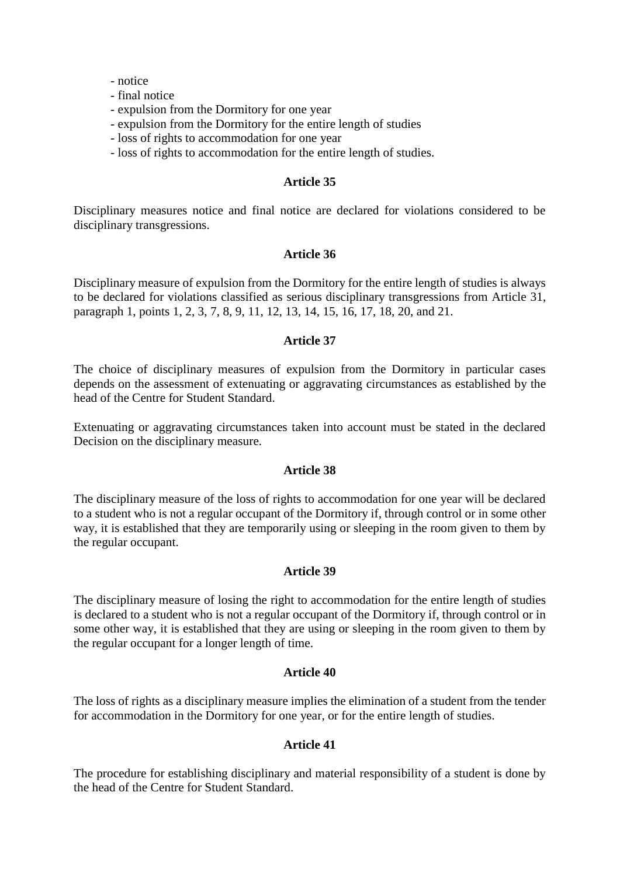- notice

- final notice
- expulsion from the Dormitory for one year
- expulsion from the Dormitory for the entire length of studies
- loss of rights to accommodation for one year
- loss of rights to accommodation for the entire length of studies.

#### **Article 35**

Disciplinary measures notice and final notice are declared for violations considered to be disciplinary transgressions.

#### **Article 36**

Disciplinary measure of expulsion from the Dormitory for the entire length of studies is always to be declared for violations classified as serious disciplinary transgressions from Article 31, paragraph 1, points 1, 2, 3, 7, 8, 9, 11, 12, 13, 14, 15, 16, 17, 18, 20, and 21.

#### **Article 37**

The choice of disciplinary measures of expulsion from the Dormitory in particular cases depends on the assessment of extenuating or aggravating circumstances as established by the head of the Centre for Student Standard.

Extenuating or aggravating circumstances taken into account must be stated in the declared Decision on the disciplinary measure.

#### **Article 38**

The disciplinary measure of the loss of rights to accommodation for one year will be declared to a student who is not a regular occupant of the Dormitory if, through control or in some other way, it is established that they are temporarily using or sleeping in the room given to them by the regular occupant.

### **Article 39**

The disciplinary measure of losing the right to accommodation for the entire length of studies is declared to a student who is not a regular occupant of the Dormitory if, through control or in some other way, it is established that they are using or sleeping in the room given to them by the regular occupant for a longer length of time.

#### **Article 40**

The loss of rights as a disciplinary measure implies the elimination of a student from the tender for accommodation in the Dormitory for one year, or for the entire length of studies.

### **Article 41**

The procedure for establishing disciplinary and material responsibility of a student is done by the head of the Centre for Student Standard.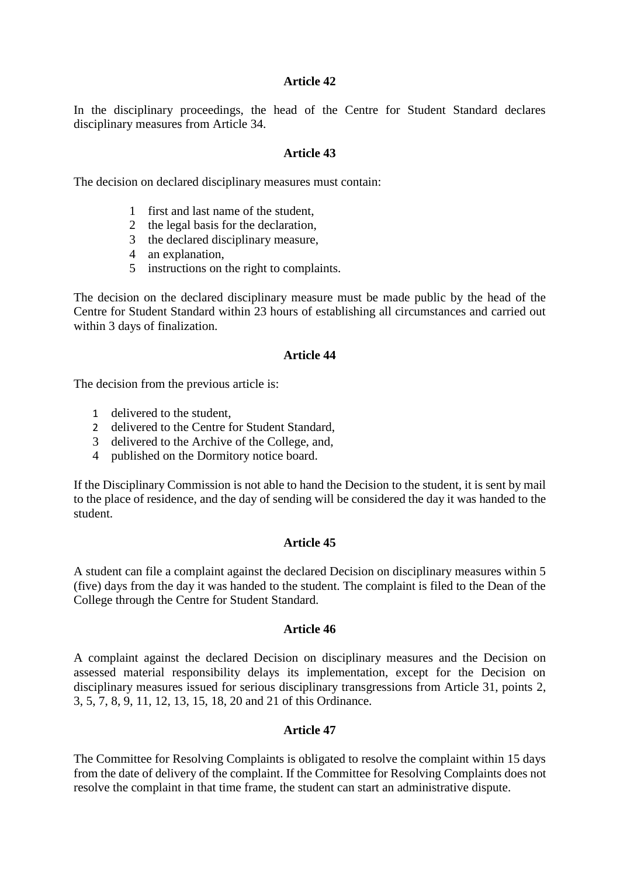In the disciplinary proceedings, the head of the Centre for Student Standard declares disciplinary measures from Article 34.

#### **Article 43**

The decision on declared disciplinary measures must contain:

- 1 first and last name of the student,
- 2 the legal basis for the declaration,
- 3 the declared disciplinary measure,
- 4 an explanation,
- 5 instructions on the right to complaints.

The decision on the declared disciplinary measure must be made public by the head of the Centre for Student Standard within 23 hours of establishing all circumstances and carried out within 3 days of finalization.

#### **Article 44**

The decision from the previous article is:

- 1 delivered to the student,
- 2 delivered to the Centre for Student Standard,
- 3 delivered to the Archive of the College, and,
- 4 published on the Dormitory notice board.

If the Disciplinary Commission is not able to hand the Decision to the student, it is sent by mail to the place of residence, and the day of sending will be considered the day it was handed to the student.

### **Article 45**

A student can file a complaint against the declared Decision on disciplinary measures within 5 (five) days from the day it was handed to the student. The complaint is filed to the Dean of the College through the Centre for Student Standard.

#### **Article 46**

A complaint against the declared Decision on disciplinary measures and the Decision on assessed material responsibility delays its implementation, except for the Decision on disciplinary measures issued for serious disciplinary transgressions from Article 31, points 2, 3, 5, 7, 8, 9, 11, 12, 13, 15, 18, 20 and 21 of this Ordinance.

### **Article 47**

The Committee for Resolving Complaints is obligated to resolve the complaint within 15 days from the date of delivery of the complaint. If the Committee for Resolving Complaints does not resolve the complaint in that time frame, the student can start an administrative dispute.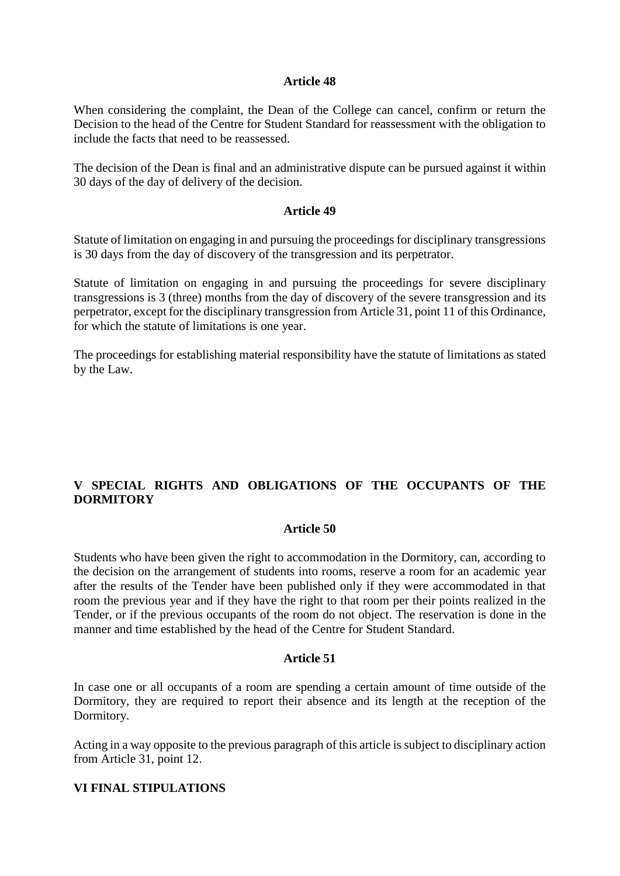When considering the complaint, the Dean of the College can cancel, confirm or return the Decision to the head of the Centre for Student Standard for reassessment with the obligation to include the facts that need to be reassessed.

The decision of the Dean is final and an administrative dispute can be pursued against it within 30 days of the day of delivery of the decision.

#### **Article 49**

Statute of limitation on engaging in and pursuing the proceedings for disciplinary transgressions is 30 days from the day of discovery of the transgression and its perpetrator.

Statute of limitation on engaging in and pursuing the proceedings for severe disciplinary transgressions is 3 (three) months from the day of discovery of the severe transgression and its perpetrator, except for the disciplinary transgression from Article 31, point 11 of this Ordinance, for which the statute of limitations is one year.

The proceedings for establishing material responsibility have the statute of limitations as stated by the Law.

## **V SPECIAL RIGHTS AND OBLIGATIONS OF THE OCCUPANTS OF THE DORMITORY**

#### **Article 50**

Students who have been given the right to accommodation in the Dormitory, can, according to the decision on the arrangement of students into rooms, reserve a room for an academic year after the results of the Tender have been published only if they were accommodated in that room the previous year and if they have the right to that room per their points realized in the Tender, or if the previous occupants of the room do not object. The reservation is done in the manner and time established by the head of the Centre for Student Standard.

#### **Article 51**

In case one or all occupants of a room are spending a certain amount of time outside of the Dormitory, they are required to report their absence and its length at the reception of the Dormitory.

Acting in a way opposite to the previous paragraph of this article is subject to disciplinary action from Article 31, point 12.

### **VI FINAL STIPULATIONS**